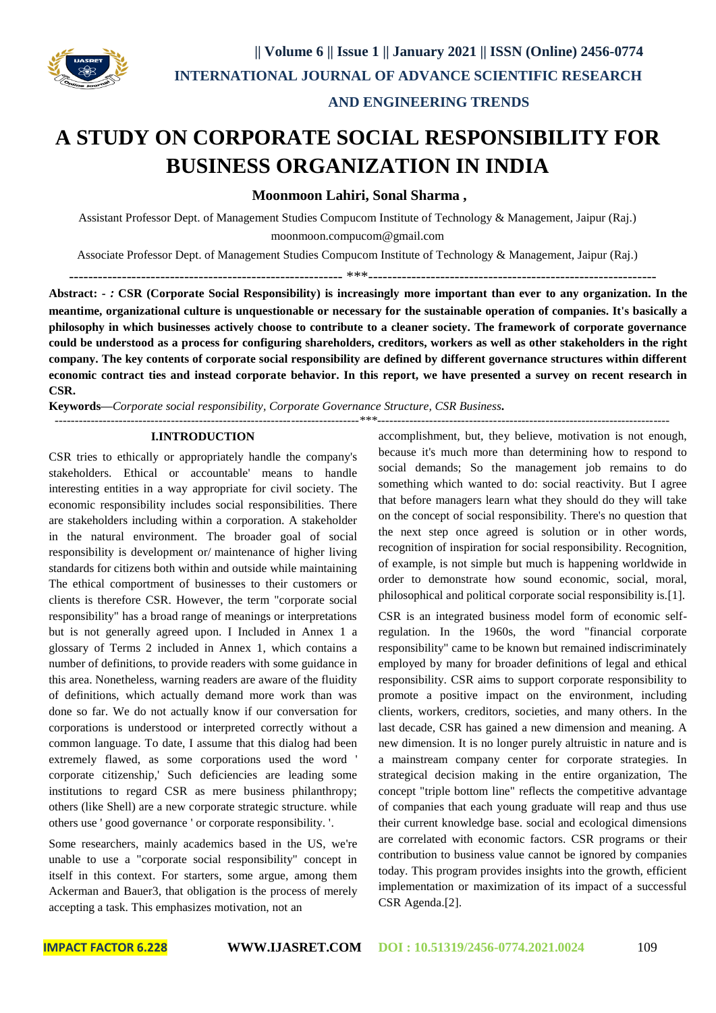

## **AND ENGINEERING TRENDS**

# **A STUDY ON CORPORATE SOCIAL RESPONSIBILITY FOR BUSINESS ORGANIZATION IN INDIA**

**Moonmoon Lahiri, Sonal Sharma ,** 

Assistant Professor Dept. of Management Studies Compucom Institute of Technology & Management, Jaipur (Raj.) moonmoon.compucom@gmail.com

Associate Professor Dept. of Management Studies Compucom Institute of Technology & Management, Jaipur (Raj.)

 $***$ 

**Abstract: -** *:* **CSR (Corporate Social Responsibility) is increasingly more important than ever to any organization. In the meantime, organizational culture is unquestionable or necessary for the sustainable operation of companies. It's basically a philosophy in which businesses actively choose to contribute to a cleaner society. The framework of corporate governance could be understood as a process for configuring shareholders, creditors, workers as well as other stakeholders in the right company. The key contents of corporate social responsibility are defined by different governance structures within different economic contract ties and instead corporate behavior. In this report, we have presented a survey on recent research in CSR.**

**Keywords—***Corporate social responsibility, Corporate Governance Structure, CSR Business***.** *----------------------------------------------------------------------------\*\*\*-------------------------------------------------------------------------*

#### **I.INTRODUCTION**

CSR tries to ethically or appropriately handle the company's stakeholders. Ethical or accountable' means to handle interesting entities in a way appropriate for civil society. The economic responsibility includes social responsibilities. There are stakeholders including within a corporation. A stakeholder in the natural environment. The broader goal of social responsibility is development or/ maintenance of higher living standards for citizens both within and outside while maintaining The ethical comportment of businesses to their customers or clients is therefore CSR. However, the term "corporate social responsibility" has a broad range of meanings or interpretations but is not generally agreed upon. I Included in Annex 1 a glossary of Terms 2 included in Annex 1, which contains a number of definitions, to provide readers with some guidance in this area. Nonetheless, warning readers are aware of the fluidity of definitions, which actually demand more work than was done so far. We do not actually know if our conversation for corporations is understood or interpreted correctly without a common language. To date, I assume that this dialog had been extremely flawed, as some corporations used the word ' corporate citizenship,' Such deficiencies are leading some institutions to regard CSR as mere business philanthropy; others (like Shell) are a new corporate strategic structure. while others use ' good governance ' or corporate responsibility. '.

Some researchers, mainly academics based in the US, we're unable to use a "corporate social responsibility" concept in itself in this context. For starters, some argue, among them Ackerman and Bauer3, that obligation is the process of merely accepting a task. This emphasizes motivation, not an

accomplishment, but, they believe, motivation is not enough, because it's much more than determining how to respond to social demands; So the management job remains to do something which wanted to do: social reactivity. But I agree that before managers learn what they should do they will take on the concept of social responsibility. There's no question that the next step once agreed is solution or in other words, recognition of inspiration for social responsibility. Recognition, of example, is not simple but much is happening worldwide in order to demonstrate how sound economic, social, moral, philosophical and political corporate social responsibility is.[1].

CSR is an integrated business model form of economic selfregulation. In the 1960s, the word "financial corporate responsibility" came to be known but remained indiscriminately employed by many for broader definitions of legal and ethical responsibility. CSR aims to support corporate responsibility to promote a positive impact on the environment, including clients, workers, creditors, societies, and many others. In the last decade, CSR has gained a new dimension and meaning. A new dimension. It is no longer purely altruistic in nature and is a mainstream company center for corporate strategies. In strategical decision making in the entire organization, The concept "triple bottom line" reflects the competitive advantage of companies that each young graduate will reap and thus use their current knowledge base. social and ecological dimensions are correlated with economic factors. CSR programs or their contribution to business value cannot be ignored by companies today. This program provides insights into the growth, efficient implementation or maximization of its impact of a successful CSR Agenda.[2].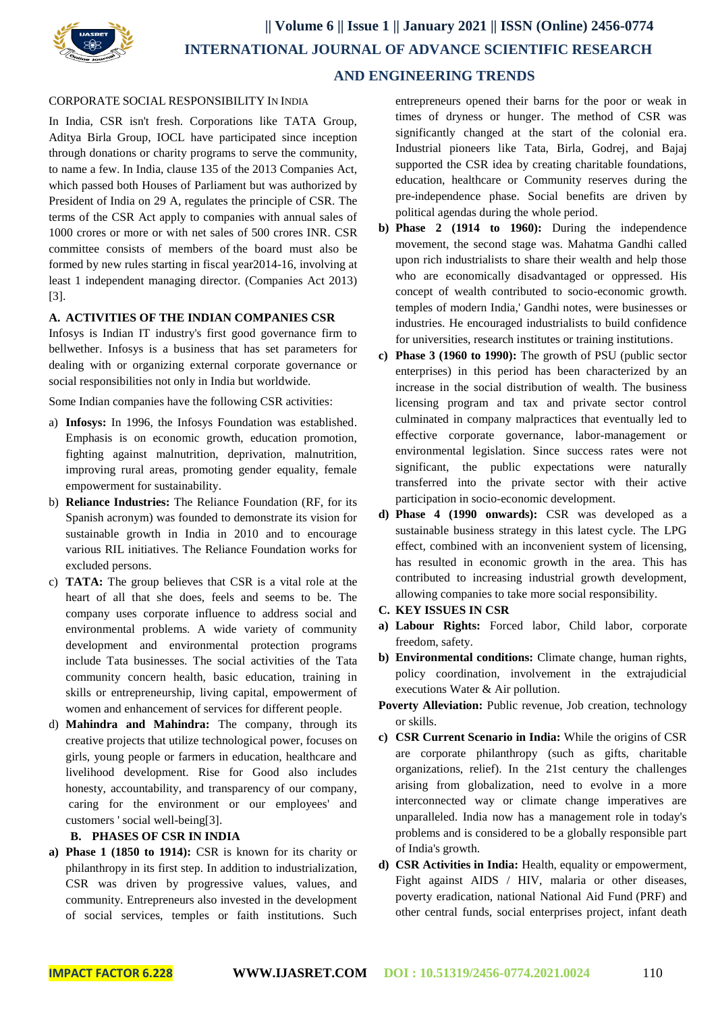

#### CORPORATE SOCIAL RESPONSIBILITY IN INDIA

In India, CSR isn't fresh. Corporations like TATA Group, Aditya Birla Group, IOCL have participated since inception through donations or charity programs to serve the community, to name a few. In India, clause 135 of the 2013 Companies Act, which passed both Houses of Parliament but was authorized by President of India on 29 A, regulates the principle of CSR. The terms of the CSR Act apply to companies with annual sales of 1000 crores or more or with net sales of 500 crores INR. CSR committee consists of members of the board must also be formed by new rules starting in fiscal year2014-16, involving at least 1 independent managing director. (Companies Act 2013) [3].

#### **A. ACTIVITIES OF THE INDIAN COMPANIES CSR**

Infosys is Indian IT industry's first good governance firm to bellwether. Infosys is a business that has set parameters for dealing with or organizing external corporate governance or social responsibilities not only in India but worldwide.

Some Indian companies have the following CSR activities:

- a) **Infosys:** In 1996, the Infosys Foundation was established. Emphasis is on economic growth, education promotion, fighting against malnutrition, deprivation, malnutrition, improving rural areas, promoting gender equality, female empowerment for sustainability.
- b) **Reliance Industries:** The Reliance Foundation (RF, for its Spanish acronym) was founded to demonstrate its vision for sustainable growth in India in 2010 and to encourage various RIL initiatives. The Reliance Foundation works for excluded persons.
- c) **TATA:** The group believes that CSR is a vital role at the heart of all that she does, feels and seems to be. The company uses corporate influence to address social and environmental problems. A wide variety of community development and environmental protection programs include Tata businesses. The social activities of the Tata community concern health, basic education, training in skills or entrepreneurship, living capital, empowerment of women and enhancement of services for different people.
- d) **Mahindra and Mahindra:** The company, through its creative projects that utilize technological power, focuses on girls, young people or farmers in education, healthcare and livelihood development. Rise for Good also includes honesty, accountability, and transparency of our company, caring for the environment or our employees' and customers ' social well-being[3].

#### **B. PHASES OF CSR IN INDIA**

**a) Phase 1 (1850 to 1914):** CSR is known for its charity or philanthropy in its first step. In addition to industrialization, CSR was driven by progressive values, values, and community. Entrepreneurs also invested in the development of social services, temples or faith institutions. Such entrepreneurs opened their barns for the poor or weak in times of dryness or hunger. The method of CSR was significantly changed at the start of the colonial era. Industrial pioneers like Tata, Birla, Godrej, and Bajaj supported the CSR idea by creating charitable foundations, education, healthcare or Community reserves during the pre-independence phase. Social benefits are driven by political agendas during the whole period.

- **b) Phase 2 (1914 to 1960):** During the independence movement, the second stage was. Mahatma Gandhi called upon rich industrialists to share their wealth and help those who are economically disadvantaged or oppressed. His concept of wealth contributed to socio-economic growth. temples of modern India,' Gandhi notes, were businesses or industries. He encouraged industrialists to build confidence for universities, research institutes or training institutions.
- **c) Phase 3 (1960 to 1990):** The growth of PSU (public sector enterprises) in this period has been characterized by an increase in the social distribution of wealth. The business licensing program and tax and private sector control culminated in company malpractices that eventually led to effective corporate governance, labor-management or environmental legislation. Since success rates were not significant, the public expectations were naturally transferred into the private sector with their active participation in socio-economic development.
- **d) Phase 4 (1990 onwards):** CSR was developed as a sustainable business strategy in this latest cycle. The LPG effect, combined with an inconvenient system of licensing, has resulted in economic growth in the area. This has contributed to increasing industrial growth development, allowing companies to take more social responsibility.
- **C. KEY ISSUES IN CSR**
- **a) Labour Rights:** Forced labor, Child labor, corporate freedom, safety.
- **b) Environmental conditions:** Climate change, human rights, policy coordination, involvement in the extrajudicial executions Water & Air pollution.
- **Poverty Alleviation:** Public revenue, Job creation, technology or skills.
- **c) CSR Current Scenario in India:** While the origins of CSR are corporate philanthropy (such as gifts, charitable organizations, relief). In the 21st century the challenges arising from globalization, need to evolve in a more interconnected way or climate change imperatives are unparalleled. India now has a management role in today's problems and is considered to be a globally responsible part of India's growth.
- **d) CSR Activities in India:** Health, equality or empowerment, Fight against AIDS / HIV, malaria or other diseases, poverty eradication, national National Aid Fund (PRF) and other central funds, social enterprises project, infant death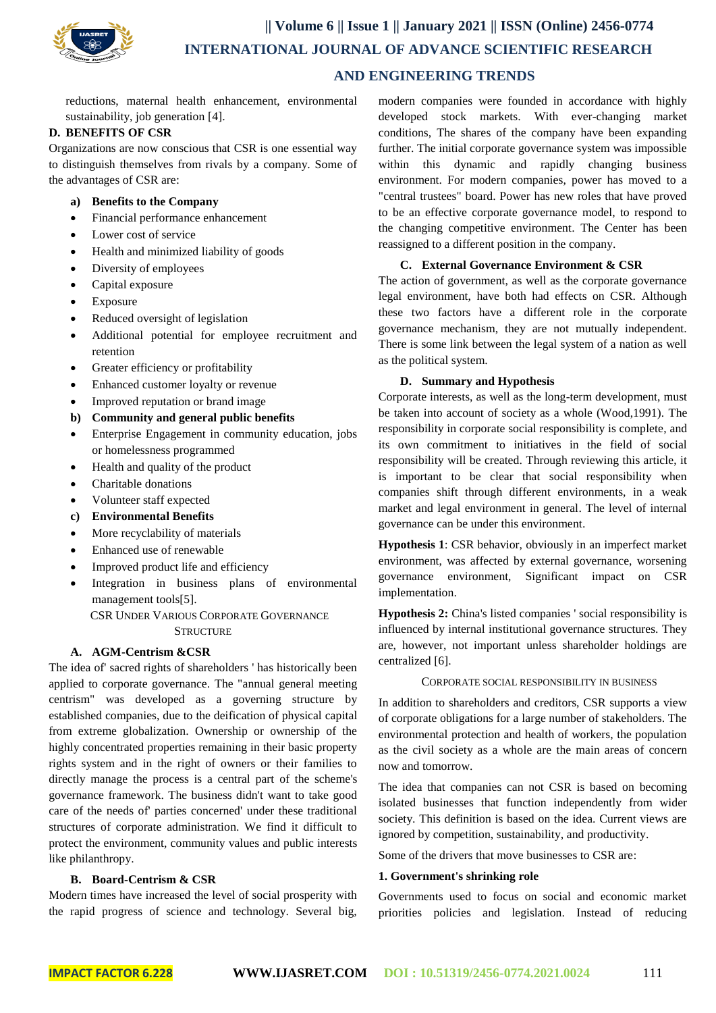

## **AND ENGINEERING TRENDS**

reductions, maternal health enhancement, environmental sustainability, job generation [4].

#### **D. BENEFITS OF CSR**

Organizations are now conscious that CSR is one essential way to distinguish themselves from rivals by a company. Some of the advantages of CSR are:

- **a) Benefits to the Company**
- Financial performance enhancement
- Lower cost of service
- Health and minimized liability of goods
- Diversity of employees
- Capital exposure
- Exposure
- Reduced oversight of legislation
- Additional potential for employee recruitment and retention
- Greater efficiency or profitability
- Enhanced customer loyalty or revenue
- Improved reputation or brand image
- **b) Community and general public benefits**
- Enterprise Engagement in community education, jobs or homelessness programmed
- Health and quality of the product
- Charitable donations
- Volunteer staff expected
- **c) Environmental Benefits**
- More recyclability of materials
- Enhanced use of renewable
- Improved product life and efficiency
- Integration in business plans of environmental management tools[5]. CSR UNDER VARIOUS CORPORATE GOVERNANCE

**STRUCTURE** 

#### **A. AGM-Centrism &CSR**

The idea of' sacred rights of shareholders ' has historically been applied to corporate governance. The "annual general meeting centrism" was developed as a governing structure by established companies, due to the deification of physical capital from extreme globalization. Ownership or ownership of the highly concentrated properties remaining in their basic property rights system and in the right of owners or their families to directly manage the process is a central part of the scheme's governance framework. The business didn't want to take good care of the needs of' parties concerned' under these traditional structures of corporate administration. We find it difficult to protect the environment, community values and public interests like philanthropy.

#### **B. Board-Centrism & CSR**

Modern times have increased the level of social prosperity with the rapid progress of science and technology. Several big,

modern companies were founded in accordance with highly developed stock markets. With ever-changing market conditions, The shares of the company have been expanding further. The initial corporate governance system was impossible within this dynamic and rapidly changing business environment. For modern companies, power has moved to a "central trustees" board. Power has new roles that have proved to be an effective corporate governance model, to respond to the changing competitive environment. The Center has been reassigned to a different position in the company.

#### **C. External Governance Environment & CSR**

The action of government, as well as the corporate governance legal environment, have both had effects on CSR. Although these two factors have a different role in the corporate governance mechanism, they are not mutually independent. There is some link between the legal system of a nation as well as the political system.

#### **D. Summary and Hypothesis**

Corporate interests, as well as the long-term development, must be taken into account of society as a whole (Wood,1991). The responsibility in corporate social responsibility is complete, and its own commitment to initiatives in the field of social responsibility will be created. Through reviewing this article, it is important to be clear that social responsibility when companies shift through different environments, in a weak market and legal environment in general. The level of internal governance can be under this environment.

**Hypothesis 1**: CSR behavior, obviously in an imperfect market environment, was affected by external governance, worsening governance environment, Significant impact on CSR implementation.

**Hypothesis 2:** China's listed companies ' social responsibility is influenced by internal institutional governance structures. They are, however, not important unless shareholder holdings are centralized [6].

#### CORPORATE SOCIAL RESPONSIBILITY IN BUSINESS

In addition to shareholders and creditors, CSR supports a view of corporate obligations for a large number of stakeholders. The environmental protection and health of workers, the population as the civil society as a whole are the main areas of concern now and tomorrow.

The idea that companies can not CSR is based on becoming isolated businesses that function independently from wider society. This definition is based on the idea. Current views are ignored by competition, sustainability, and productivity.

Some of the drivers that move businesses to CSR are:

#### **1. Government's shrinking role**

Governments used to focus on social and economic market priorities policies and legislation. Instead of reducing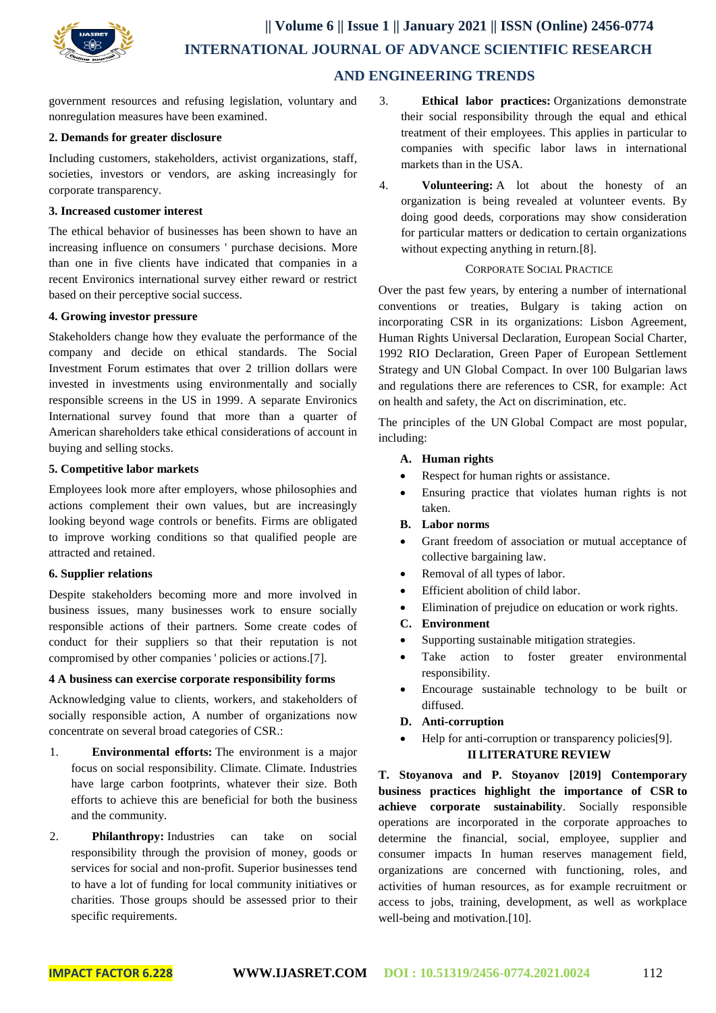

government resources and refusing legislation, voluntary and nonregulation measures have been examined.

#### **2. Demands for greater disclosure**

Including customers, stakeholders, activist organizations, staff, societies, investors or vendors, are asking increasingly for corporate transparency.

#### **3. Increased customer interest**

The ethical behavior of businesses has been shown to have an increasing influence on consumers ' purchase decisions. More than one in five clients have indicated that companies in a recent Environics international survey either reward or restrict based on their perceptive social success.

#### **4. Growing investor pressure**

Stakeholders change how they evaluate the performance of the company and decide on ethical standards. The Social Investment Forum estimates that over 2 trillion dollars were invested in investments using environmentally and socially responsible screens in the US in 1999. A separate Environics International survey found that more than a quarter of American shareholders take ethical considerations of account in buying and selling stocks.

#### **5. Competitive labor markets**

Employees look more after employers, whose philosophies and actions complement their own values, but are increasingly looking beyond wage controls or benefits. Firms are obligated to improve working conditions so that qualified people are attracted and retained.

#### **6. Supplier relations**

Despite stakeholders becoming more and more involved in business issues, many businesses work to ensure socially responsible actions of their partners. Some create codes of conduct for their suppliers so that their reputation is not compromised by other companies ' policies or actions.[7].

#### **4 A business can exercise corporate responsibility forms**

Acknowledging value to clients, workers, and stakeholders of socially responsible action, A number of organizations now concentrate on several broad categories of CSR.:

- 1. **Environmental efforts:** The environment is a major focus on social responsibility. Climate. Climate. Industries have large carbon footprints, whatever their size. Both efforts to achieve this are beneficial for both the business and the community.
- 2. **Philanthropy:** Industries can take on social responsibility through the provision of money, goods or services for social and non-profit. Superior businesses tend to have a lot of funding for local community initiatives or charities. Those groups should be assessed prior to their specific requirements.
- 3. **Ethical labor practices:** Organizations demonstrate their social responsibility through the equal and ethical treatment of their employees. This applies in particular to companies with specific labor laws in international markets than in the USA.
- 4. **Volunteering:** A lot about the honesty of an organization is being revealed at volunteer events. By doing good deeds, corporations may show consideration for particular matters or dedication to certain organizations without expecting anything in return.[8].

#### CORPORATE SOCIAL PRACTICE

Over the past few years, by entering a number of international conventions or treaties, Bulgary is taking action on incorporating CSR in its organizations: Lisbon Agreement, Human Rights Universal Declaration, European Social Charter, 1992 RIO Declaration, Green Paper of European Settlement Strategy and UN Global Compact. In over 100 Bulgarian laws and regulations there are references to CSR, for example: Act on health and safety, the Act on discrimination, etc.

The principles of the UN Global Compact are most popular, including:

- **A. Human rights**
- Respect for human rights or assistance.
- Ensuring practice that violates human rights is not taken.
- **B. Labor norms**
- Grant freedom of association or mutual acceptance of collective bargaining law.
- Removal of all types of labor.
- Efficient abolition of child labor.
- Elimination of prejudice on education or work rights.

#### **C. Environment**

- Supporting sustainable mitigation strategies.
- Take action to foster greater environmental responsibility.
- Encourage sustainable technology to be built or diffused.
- **D. Anti-corruption**
- Help for anti-corruption or transparency policies[9]. **II LITERATURE REVIEW**

**T. Stoyanova and P. Stoyanov [2019] Contemporary business practices highlight the importance of CSR to achieve corporate sustainability**. Socially responsible operations are incorporated in the corporate approaches to determine the financial, social, employee, supplier and consumer impacts In human reserves management field, organizations are concerned with functioning, roles, and activities of human resources, as for example recruitment or access to jobs, training, development, as well as workplace well-being and motivation.[10].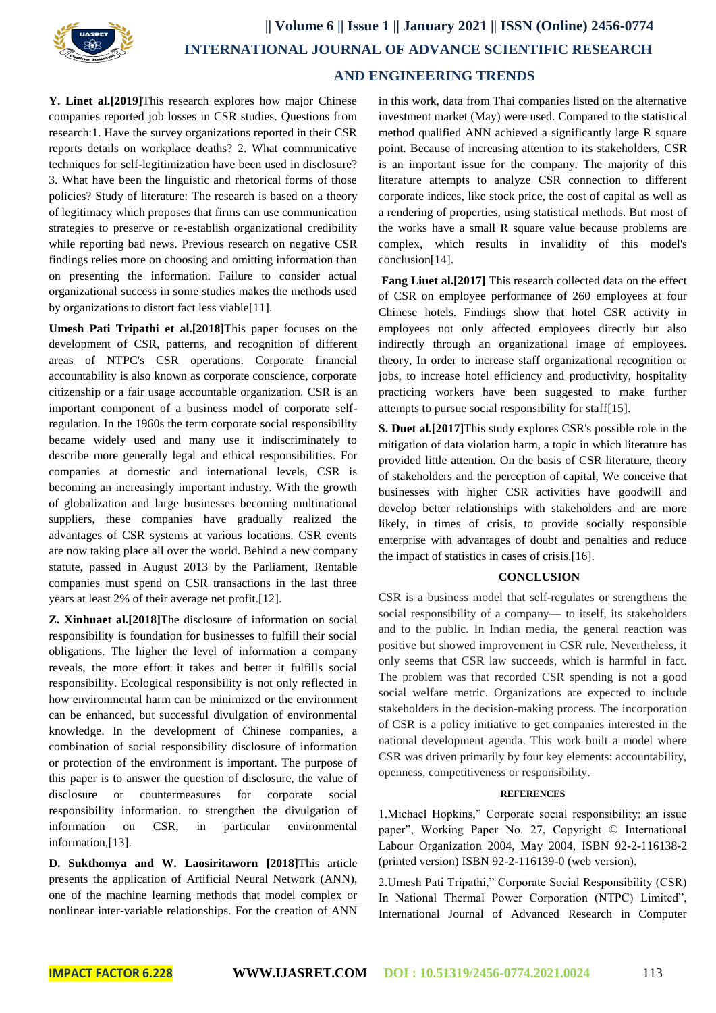

## **|| Volume 6 || Issue 1 || January 2021 || ISSN (Online) 2456-0774 INTERNATIONAL JOURNAL OF ADVANCE SCIENTIFIC RESEARCH AND ENGINEERING TRENDS**

**Y. Linet al.[2019]**This research explores how major Chinese companies reported job losses in CSR studies. Questions from research:1. Have the survey organizations reported in their CSR reports details on workplace deaths? 2. What communicative techniques for self-legitimization have been used in disclosure? 3. What have been the linguistic and rhetorical forms of those policies? Study of literature: The research is based on a theory of legitimacy which proposes that firms can use communication strategies to preserve or re-establish organizational credibility while reporting bad news. Previous research on negative CSR findings relies more on choosing and omitting information than on presenting the information. Failure to consider actual organizational success in some studies makes the methods used by organizations to distort fact less viable[11].

**Umesh Pati Tripathi et al.[2018]**This paper focuses on the development of CSR, patterns, and recognition of different areas of NTPC's CSR operations. Corporate financial accountability is also known as corporate conscience, corporate citizenship or a fair usage accountable organization. CSR is an important component of a business model of corporate selfregulation. In the 1960s the term corporate social responsibility became widely used and many use it indiscriminately to describe more generally legal and ethical responsibilities. For companies at domestic and international levels, CSR is becoming an increasingly important industry. With the growth of globalization and large businesses becoming multinational suppliers, these companies have gradually realized the advantages of CSR systems at various locations. CSR events are now taking place all over the world. Behind a new company statute, passed in August 2013 by the Parliament, Rentable companies must spend on CSR transactions in the last three years at least 2% of their average net profit.[12].

**Z. Xinhuaet al.[2018]**The disclosure of information on social responsibility is foundation for businesses to fulfill their social obligations. The higher the level of information a company reveals, the more effort it takes and better it fulfills social responsibility. Ecological responsibility is not only reflected in how environmental harm can be minimized or the environment can be enhanced, but successful divulgation of environmental knowledge. In the development of Chinese companies, a combination of social responsibility disclosure of information or protection of the environment is important. The purpose of this paper is to answer the question of disclosure, the value of disclosure or countermeasures for corporate social responsibility information. to strengthen the divulgation of information on CSR, in particular environmental information,[13].

**D. Sukthomya and W. Laosiritaworn [2018]**This article presents the application of Artificial Neural Network (ANN), one of the machine learning methods that model complex or nonlinear inter-variable relationships. For the creation of ANN in this work, data from Thai companies listed on the alternative investment market (May) were used. Compared to the statistical method qualified ANN achieved a significantly large R square point. Because of increasing attention to its stakeholders, CSR is an important issue for the company. The majority of this literature attempts to analyze CSR connection to different corporate indices, like stock price, the cost of capital as well as a rendering of properties, using statistical methods. But most of the works have a small R square value because problems are complex, which results in invalidity of this model's conclusion[14].

**Fang Liuet al.[2017]** This research collected data on the effect of CSR on employee performance of 260 employees at four Chinese hotels. Findings show that hotel CSR activity in employees not only affected employees directly but also indirectly through an organizational image of employees. theory, In order to increase staff organizational recognition or jobs, to increase hotel efficiency and productivity, hospitality practicing workers have been suggested to make further attempts to pursue social responsibility for staff[15].

**S. Duet al.[2017]**This study explores CSR's possible role in the mitigation of data violation harm, a topic in which literature has provided little attention. On the basis of CSR literature, theory of stakeholders and the perception of capital, We conceive that businesses with higher CSR activities have goodwill and develop better relationships with stakeholders and are more likely, in times of crisis, to provide socially responsible enterprise with advantages of doubt and penalties and reduce the impact of statistics in cases of crisis.[16].

#### **CONCLUSION**

CSR is a business model that self-regulates or strengthens the social responsibility of a company— to itself, its stakeholders and to the public. In Indian media, the general reaction was positive but showed improvement in CSR rule. Nevertheless, it only seems that CSR law succeeds, which is harmful in fact. The problem was that recorded CSR spending is not a good social welfare metric. Organizations are expected to include stakeholders in the decision-making process. The incorporation of CSR is a policy initiative to get companies interested in the national development agenda. This work built a model where CSR was driven primarily by four key elements: accountability, openness, competitiveness or responsibility.

#### **REFERENCES**

1.Michael Hopkins," Corporate social responsibility: an issue paper", Working Paper No. 27, Copyright © International Labour Organization 2004, May 2004, ISBN 92-2-116138-2 (printed version) ISBN 92-2-116139-0 (web version).

2.Umesh Pati Tripathi," Corporate Social Responsibility (CSR) In National Thermal Power Corporation (NTPC) Limited", International Journal of Advanced Research in Computer